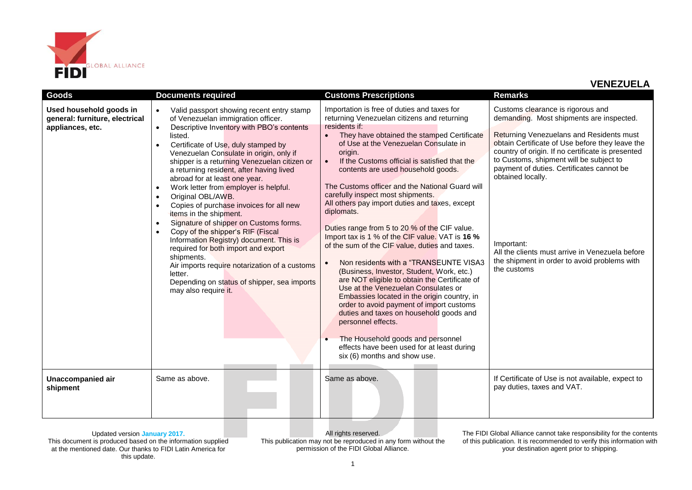

| <b>Goods</b>                                                                  | <b>Documents required</b>                                                                                                                                                                                                                                                                                                                                                                                                                                                                                                                                                                                                                                                                                                                                                                                                                                                    | <b>Customs Prescriptions</b>                                                                                                                                                                                                                                                                                                                                                                                                                                                                                                                                                                                                                                                                                                                                                                                                                                                                                                                                                                                                                                                     | <b>Remarks</b>                                                                                                                                                                                                                                                                                                                                                                                                                                                                 |
|-------------------------------------------------------------------------------|------------------------------------------------------------------------------------------------------------------------------------------------------------------------------------------------------------------------------------------------------------------------------------------------------------------------------------------------------------------------------------------------------------------------------------------------------------------------------------------------------------------------------------------------------------------------------------------------------------------------------------------------------------------------------------------------------------------------------------------------------------------------------------------------------------------------------------------------------------------------------|----------------------------------------------------------------------------------------------------------------------------------------------------------------------------------------------------------------------------------------------------------------------------------------------------------------------------------------------------------------------------------------------------------------------------------------------------------------------------------------------------------------------------------------------------------------------------------------------------------------------------------------------------------------------------------------------------------------------------------------------------------------------------------------------------------------------------------------------------------------------------------------------------------------------------------------------------------------------------------------------------------------------------------------------------------------------------------|--------------------------------------------------------------------------------------------------------------------------------------------------------------------------------------------------------------------------------------------------------------------------------------------------------------------------------------------------------------------------------------------------------------------------------------------------------------------------------|
| Used household goods in<br>general: furniture, electrical<br>appliances, etc. | Valid passport showing recent entry stamp<br>$\bullet$<br>of Venezuelan immigration officer.<br>Descriptive Inventory with PBO's contents<br>$\bullet$<br>listed.<br>Certificate of Use, duly stamped by<br>Venezuelan Consulate in origin, only if<br>shipper is a returning Venezuelan citizen or<br>a returning resident, after having lived<br>abroad for at least one year.<br>Work letter from employer is helpful.<br>$\bullet$<br>Original OBL/AWB.<br>$\bullet$<br>Copies of purchase invoices for all new<br>items in the shipment.<br>Signature of shipper on Customs forms.<br>$\bullet$<br>Copy of the shipper's RIF (Fiscal<br>Information Registry) document. This is<br>required for both import and export<br>shipments.<br>Air imports require notarization of a customs<br>letter.<br>Depending on status of shipper, sea imports<br>may also require it. | Importation is free of duties and taxes for<br>returning Venezuelan citizens and returning<br>residents if:<br>They have obtained the stamped Certificate<br>of Use at the Venezuelan Consulate in<br>origin.<br>If the Customs official is satisfied that the<br>contents are used household goods.<br>The Customs officer and the National Guard will<br>carefully inspect most shipments.<br>All others pay import duties and taxes, except<br>diplomats.<br>Duties range from 5 to 20 % of the CIF value.<br>Import tax is 1 % of the CIF value. VAT is 16 %<br>of the sum of the CIF value, duties and taxes.<br>Non residents with a "TRANSEUNTE VISA3<br>(Business, Investor, Student, Work, etc.)<br>are NOT eligible to obtain the Certificate of<br>Use at the Venezuelan Consulates or<br>Embassies located in the origin country, in<br>order to avoid payment of import customs<br>duties and taxes on household goods and<br>personnel effects.<br>The Household goods and personnel<br>effects have been used for at least during<br>six (6) months and show use. | Customs clearance is rigorous and<br>demanding. Most shipments are inspected.<br>Returning Venezuelans and Residents must<br>obtain Certificate of Use before they leave the<br>country of origin. If no certificate is presented<br>to Customs, shipment will be subject to<br>payment of duties. Certificates cannot be<br>obtained locally.<br>Important:<br>All the clients must arrive in Venezuela before<br>the shipment in order to avoid problems with<br>the customs |
| Unaccompanied air<br>shipment                                                 | Same as above.                                                                                                                                                                                                                                                                                                                                                                                                                                                                                                                                                                                                                                                                                                                                                                                                                                                               | Same as above.                                                                                                                                                                                                                                                                                                                                                                                                                                                                                                                                                                                                                                                                                                                                                                                                                                                                                                                                                                                                                                                                   | If Certificate of Use is not available, expect to<br>pay duties, taxes and VAT.                                                                                                                                                                                                                                                                                                                                                                                                |

Updated version **January 2017.** This document is produced based on the information supplied at the mentioned date. Our thanks to FIDI Latin America for this update.

All rights reserved. This publication may not be reproduced in any form without the permission of the FIDI Global Alliance.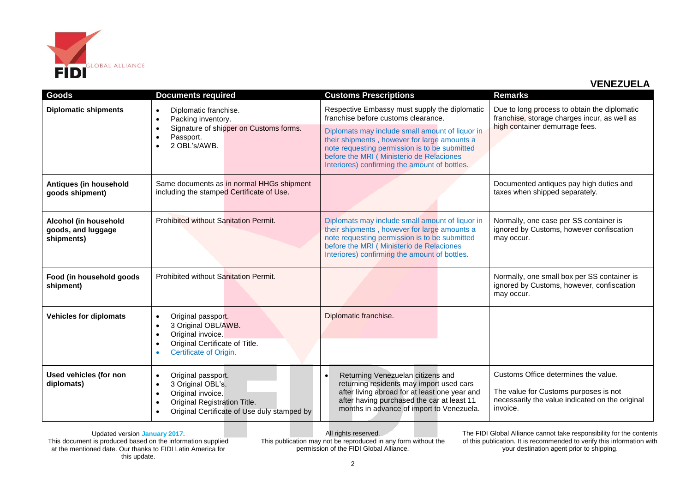

| Goods                                                     | <b>Documents required</b>                                                                                                                                                          | <b>Customs Prescriptions</b>                                                                                                                                                                                                                   | <b>Remarks</b>                                                                                                                               |
|-----------------------------------------------------------|------------------------------------------------------------------------------------------------------------------------------------------------------------------------------------|------------------------------------------------------------------------------------------------------------------------------------------------------------------------------------------------------------------------------------------------|----------------------------------------------------------------------------------------------------------------------------------------------|
| <b>Diplomatic shipments</b>                               | Diplomatic franchise.<br>$\bullet$<br>Packing inventory.<br>$\bullet$                                                                                                              | Respective Embassy must supply the diplomatic<br>franchise before customs clearance.                                                                                                                                                           | Due to long process to obtain the diplomatic<br>franchise, storage charges incur, as well as<br>high container demurrage fees.               |
|                                                           | Signature of shipper on Customs forms.<br>Passport.<br>2 OBL's/AWB.                                                                                                                | Diplomats may include small amount of liquor in<br>their shipments, however for large amounts a<br>note requesting permission is to be submitted<br>before the MRI (Ministerio de Relaciones<br>Interiores) confirming the amount of bottles.  |                                                                                                                                              |
| Antiques (in household<br>goods shipment)                 | Same documents as in normal HHGs shipment<br>including the stamped Certificate of Use.                                                                                             |                                                                                                                                                                                                                                                | Documented antiques pay high duties and<br>taxes when shipped separately.                                                                    |
| Alcohol (in household<br>goods, and luggage<br>shipments) | Prohibited without Sanitation Permit.                                                                                                                                              | Diplomats may include small amount of liquor in<br>their shipments, however for large amounts a<br>note requesting permission is to be submitted<br>before the MRI ( Ministerio de Relaciones<br>Interiores) confirming the amount of bottles. | Normally, one case per SS container is<br>ignored by Customs, however confiscation<br>may occur.                                             |
| Food (in household goods<br>shipment)                     | Prohibited without Sanitation Permit.                                                                                                                                              |                                                                                                                                                                                                                                                | Normally, one small box per SS container is<br>ignored by Customs, however, confiscation<br>may occur.                                       |
| <b>Vehicles for diplomats</b>                             | Original passport.<br>$\bullet$<br>3 Original OBL/AWB.<br>$\bullet$<br>Original invoice.<br>Original Certificate of Title.<br>Certificate of Origin.                               | Diplomatic franchise.                                                                                                                                                                                                                          |                                                                                                                                              |
| Used vehicles (for non<br>diplomats)                      | Original passport.<br>$\bullet$<br>3 Original OBL's.<br>$\bullet$<br>Original invoice.<br>$\bullet$<br>Original Registration Title.<br>Original Certificate of Use duly stamped by | Returning Venezuelan citizens and<br>returning residents may import used cars<br>after living abroad for at least one year and<br>after having purchased the car at least 11<br>months in advance of import to Venezuela.                      | Customs Office determines the value.<br>The value for Customs purposes is not<br>necessarily the value indicated on the original<br>invoice. |

Updated version **January 2017.** This document is produced based on the information supplied at the mentioned date. Our thanks to FIDI Latin America for this update.

All rights reserved. This publication may not be reproduced in any form without the permission of the FIDI Global Alliance.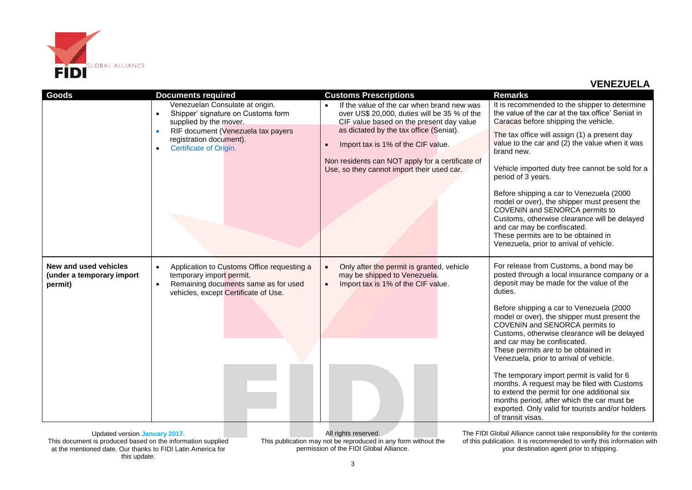

| Goods                                                         | <b>Documents required</b>                                                                                                                                                        | <b>Customs Prescriptions</b>                                                                                                           | <b>Remarks</b>                                                                                                                                                                                                                                                                              |
|---------------------------------------------------------------|----------------------------------------------------------------------------------------------------------------------------------------------------------------------------------|----------------------------------------------------------------------------------------------------------------------------------------|---------------------------------------------------------------------------------------------------------------------------------------------------------------------------------------------------------------------------------------------------------------------------------------------|
|                                                               | Venezuelan Consulate at origin.<br>Shipper' signature on Customs form<br>$\bullet$<br>supplied by the mover.                                                                     | If the value of the car when brand new was<br>over US\$ 20,000, duties will be 35 % of the<br>CIF value based on the present day value | It is recommended to the shipper to determine<br>the value of the car at the tax office' Seniat in<br>Caracas before shipping the vehicle.                                                                                                                                                  |
|                                                               | RIF document (Venezuela tax payers<br>$\bullet$<br>registration document).<br>Certificate of Origin.<br>$\bullet$                                                                | as dictated by the tax office (Seniat).<br>Import tax is 1% of the CIF value.                                                          | The tax office will assign (1) a present day<br>value to the car and (2) the value when it was<br>brand new.                                                                                                                                                                                |
|                                                               |                                                                                                                                                                                  | Non residents can NOT apply for a certificate of<br>Use, so they cannot import their used car.                                         | Vehicle imported duty free cannot be sold for a<br>period of 3 years.                                                                                                                                                                                                                       |
|                                                               |                                                                                                                                                                                  |                                                                                                                                        | Before shipping a car to Venezuela (2000<br>model or over), the shipper must present the<br>COVENIN and SENORCA permits to<br>Customs, otherwise clearance will be delayed<br>and car may be confiscated.<br>These permits are to be obtained in<br>Venezuela, prior to arrival of vehicle. |
| New and used vehicles<br>(under a temporary import<br>permit) | Application to Customs Office requesting a<br>$\bullet$<br>temporary import permit.<br>Remaining documents same as for used<br>$\bullet$<br>vehicles, except Certificate of Use. | Only after the permit is granted, vehicle<br>may be shipped to Venezuela.<br>Import tax is 1% of the CIF value.                        | For release from Customs, a bond may be<br>posted through a local insurance company or a<br>deposit may be made for the value of the<br>duties.                                                                                                                                             |
|                                                               |                                                                                                                                                                                  |                                                                                                                                        | Before shipping a car to Venezuela (2000<br>model or over), the shipper must present the<br>COVENIN and SENORCA permits to<br>Customs, otherwise clearance will be delayed<br>and car may be confiscated.                                                                                   |
|                                                               |                                                                                                                                                                                  |                                                                                                                                        | These permits are to be obtained in<br>Venezuela, prior to arrival of vehicle.                                                                                                                                                                                                              |
|                                                               |                                                                                                                                                                                  |                                                                                                                                        | The temporary import permit is valid for 6<br>months. A request may be filed with Customs<br>to extend the permit for one additional six<br>months period, after which the car must be<br>exported. Only valid for tourists and/or holders<br>of transit visas.                             |

Updated version **January 2017.** This document is produced based on the information supplied at the mentioned date. Our thanks to FIDI Latin America for this update.

All rights reserved. This publication may not be reproduced in any form without the permission of the FIDI Global Alliance.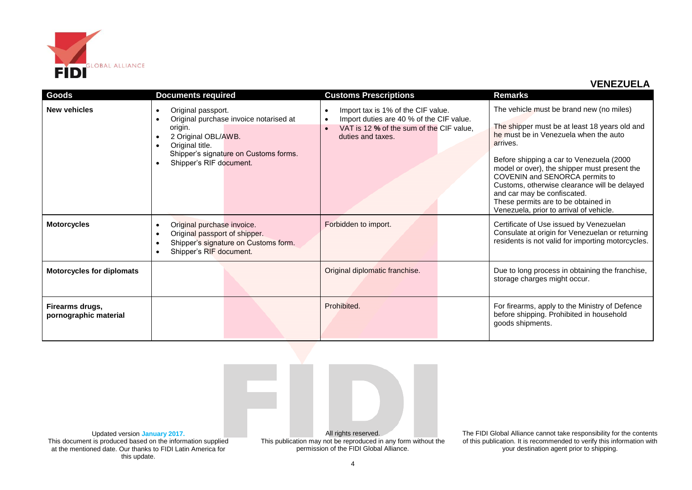

| Goods                                    | <b>Documents required</b>                                                                                                                                                                                       | <b>Customs Prescriptions</b>                                                                                                                    | Remarks                                                                                                                                                                                                                                                                                                                                                                                                                                       |
|------------------------------------------|-----------------------------------------------------------------------------------------------------------------------------------------------------------------------------------------------------------------|-------------------------------------------------------------------------------------------------------------------------------------------------|-----------------------------------------------------------------------------------------------------------------------------------------------------------------------------------------------------------------------------------------------------------------------------------------------------------------------------------------------------------------------------------------------------------------------------------------------|
| <b>New vehicles</b>                      | Original passport.<br>$\bullet$<br>Original purchase invoice notarised at<br>origin.<br>2 Original OBL/AWB.<br>Original title.<br>Shipper's signature on Customs forms.<br>Shipper's RIF document.<br>$\bullet$ | Import tax is 1% of the CIF value.<br>Import duties are 40 % of the CIF value.<br>VAT is 12 % of the sum of the CIF value,<br>duties and taxes. | The vehicle must be brand new (no miles)<br>The shipper must be at least 18 years old and<br>he must be in Venezuela when the auto<br>arrives.<br>Before shipping a car to Venezuela (2000<br>model or over), the shipper must present the<br>COVENIN and SENORCA permits to<br>Customs, otherwise clearance will be delayed<br>and car may be confiscated.<br>These permits are to be obtained in<br>Venezuela, prior to arrival of vehicle. |
| <b>Motorcycles</b>                       | Original purchase invoice.<br>Original passport of shipper.<br>$\bullet$<br>Shipper's signature on Customs form.<br>Shipper's RIF document.                                                                     | Forbidden to import.                                                                                                                            | Certificate of Use issued by Venezuelan<br>Consulate at origin for Venezuelan or returning<br>residents is not valid for importing motorcycles.                                                                                                                                                                                                                                                                                               |
| <b>Motorcycles for diplomats</b>         |                                                                                                                                                                                                                 | Original diplomatic franchise.                                                                                                                  | Due to long process in obtaining the franchise,<br>storage charges might occur.                                                                                                                                                                                                                                                                                                                                                               |
| Firearms drugs,<br>pornographic material |                                                                                                                                                                                                                 | Prohibited.                                                                                                                                     | For firearms, apply to the Ministry of Defence<br>before shipping. Prohibited in household<br>goods shipments.                                                                                                                                                                                                                                                                                                                                |



Updated version **January 2017.** This document is produced based on the information supplied at the mentioned date. Our thanks to FIDI Latin America for this update.

This publication may not be reproduced in any form without the permission of the FIDI Global Alliance.